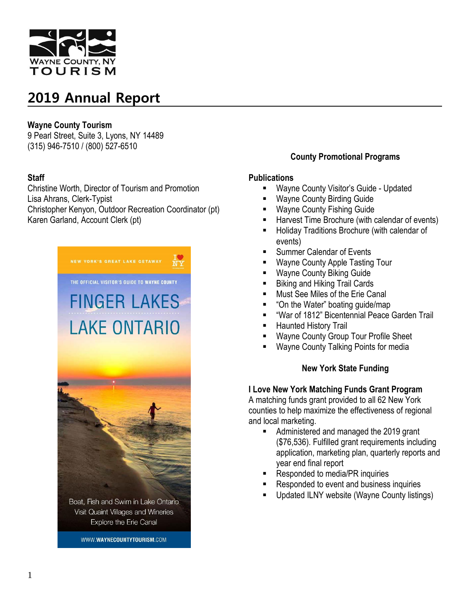

### **Wayne County Tourism**

9 Pearl Street, Suite 3, Lyons, NY 14489 (315) 946-7510 / (800) 527-6510

## **Staff**

Christine Worth, Director of Tourism and Promotion Lisa Ahrans, Clerk-Typist Christopher Kenyon, Outdoor Recreation Coordinator (pt) Karen Garland, Account Clerk (pt)



WWW.WAYNECOUNTYTOURISM.COM

## **County Promotional Programs**

### **Publications**

- **Wayne County Visitor's Guide Updated**
- Wayne County Birding Guide
- Wayne County Fishing Guide
- Harvest Time Brochure (with calendar of events)
- **Holiday Traditions Brochure (with calendar of** events)
- Summer Calendar of Events
- Wayne County Apple Tasting Tour
- Wayne County Biking Guide
- Biking and Hiking Trail Cards
- Must See Miles of the Erie Canal
- "On the Water" boating guide/map
- "War of 1812" Bicentennial Peace Garden Trail
- Haunted History Trail
- Wayne County Group Tour Profile Sheet
- Wayne County Talking Points for media

### **New York State Funding**

### **I Love New York Matching Funds Grant Program**

A matching funds grant provided to all 62 New York counties to help maximize the effectiveness of regional and local marketing.

- Administered and managed the 2019 grant (\$76,536). Fulfilled grant requirements including application, marketing plan, quarterly reports and year end final report
- Responded to media/PR inquiries
- Responded to event and business inquiries
- Updated ILNY website (Wayne County listings)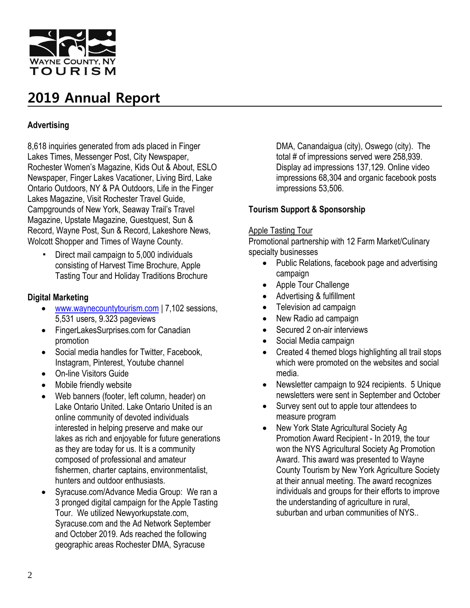

## **Advertising**

8,618 inquiries generated from ads placed in Finger Lakes Times, Messenger Post, City Newspaper, Rochester Women's Magazine, Kids Out & About, ESLO Newspaper, Finger Lakes Vacationer, Living Bird, Lake Ontario Outdoors, NY & PA Outdoors, Life in the Finger Lakes Magazine, Visit Rochester Travel Guide, Campgrounds of New York, Seaway Trail's Travel Magazine, Upstate Magazine, Guestquest, Sun & Record, Wayne Post, Sun & Record, Lakeshore News, Wolcott Shopper and Times of Wayne County.

Direct mail campaign to 5,000 individuals consisting of Harvest Time Brochure, Apple Tasting Tour and Holiday Traditions Brochure

### **Digital Marketing**

- [www.waynecountytourism.com](http://www.waynecountytourism.com/) | 7,102 sessions, 5,531 users, 9.323 pageviews
- FingerLakesSurprises.com for Canadian promotion
- Social media handles for Twitter, Facebook, Instagram, Pinterest, Youtube channel
- On-line Visitors Guide
- Mobile friendly website
- Web banners (footer, left column, header) on Lake Ontario United. Lake Ontario United is an online community of devoted individuals interested in helping preserve and make our lakes as rich and enjoyable for future generations as they are today for us. It is a community composed of professional and amateur fishermen, charter captains, environmentalist, hunters and outdoor enthusiasts.
- Syracuse.com/Advance Media Group: We ran a 3 pronged digital campaign for the Apple Tasting Tour. We utilized Newyorkupstate.com, Syracuse.com and the Ad Network September and October 2019. Ads reached the following geographic areas Rochester DMA, Syracuse

DMA, Canandaigua (city), Oswego (city). The total # of impressions served were 258,939. Display ad impressions 137,129. Online video impressions 68,304 and organic facebook posts impressions 53,506.

## **Tourism Support & Sponsorship**

### Apple Tasting Tour

Promotional partnership with 12 Farm Market/Culinary specialty businesses

- Public Relations, facebook page and advertising campaign
- Apple Tour Challenge
- Advertising & fulfillment
- Television ad campaign
- New Radio ad campaign
- Secured 2 on-air interviews
- Social Media campaign
- Created 4 themed blogs highlighting all trail stops which were promoted on the websites and social media.
- Newsletter campaign to 924 recipients. 5 Unique newsletters were sent in September and October
- Survey sent out to apple tour attendees to measure program
- New York State Agricultural Society Ag Promotion Award Recipient - In 2019, the tour won the NYS Agricultural Society Ag Promotion Award. This award was presented to Wayne County Tourism by New York Agriculture Society at their annual meeting. The award recognizes individuals and groups for their efforts to improve the understanding of agriculture in rural, suburban and urban communities of NYS..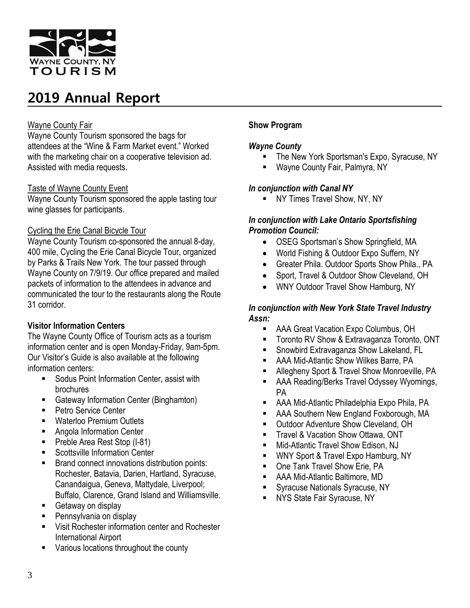

### Wayne County Fair

Wayne County Tourism sponsored the bags for attendees at the "Wine & Farm Market event." Worked with the marketing chair on a cooperative television ad. Assisted with media requests.

## Taste of Wayne County Event

Wayne County Tourism sponsored the apple tasting tour wine glasses for participants.

## Cycling the Erie Canal Bicycle Tour

Wayne County Tourism co-sponsored the annual 8-day, 400 mile, Cycling the Erie Canal Bicycle Tour, organized by Parks & Trails New York. The tour passed through Wayne County on 7/9/19. Our office prepared and mailed packets of information to the attendees in advance and communicated the tour to the restaurants along the Route 31 corridor.

## **Visitor Information Centers**

The Wayne County Office of Tourism acts as a tourism information center and is open Monday-Friday, 9am-5pm. Our Visitor's Guide is also available at the following information centers:

- **Sodus Point Information Center, assist with** brochures
- **Gateway Information Center (Binghamton)**
- Petro Service Center
- Waterloo Premium Outlets
- **Angola Information Center**
- Preble Area Rest Stop (I-81)
- Scottsville Information Center
- Brand connect innovations distribution points: Rochester, Batavia, Darien, Hartland, Syracuse, Canandaigua, Geneva, Mattydale, Liverpool; Buffalo, Clarence, Grand Island and Williamsville.
- Getaway on display
- Pennsylvania on display
- **Visit Rochester information center and Rochester** International Airport
- **Various locations throughout the county**

## **Show Program**

### *Wayne County*

- The New York Sportsman's Expo, Syracuse, NY
- Wayne County Fair, Palmyra, NY

## *In conjunction with Canal NY*

**NY Times Travel Show, NY, NY** 

### *In conjunction with Lake Ontario Sportsfishing Promotion Council:*

- OSEG Sportsman's Show Springfield, MA
- World Fishing & Outdoor Expo Suffern, NY
- Greater Phila. Outdoor Sports Show Phila., PA
- Sport, Travel & Outdoor Show Cleveland, OH
- WNY Outdoor Travel Show Hamburg, NY

## *In conjunction with New York State Travel Industry Assn:*

- AAA Great Vacation Expo Columbus, OH
- **Toronto RV Show & Extravaganza Toronto, ONT**
- Snowbird Extravaganza Show Lakeland, FL
- **AAA Mid-Atlantic Show Wilkes Barre, PA**
- Allegheny Sport & Travel Show Monroeville, PA
- **AAA Reading/Berks Travel Odyssey Wyomings,** PA
- AAA Mid-Atlantic Philadelphia Expo Phila, PA
- AAA Southern New England Foxborough, MA
- Outdoor Adventure Show Cleveland, OH
- Travel & Vacation Show Ottawa, ONT
- Mid-Atlantic Travel Show Edison, NJ
- **WNY Sport & Travel Expo Hamburg, NY**
- One Tank Travel Show Erie, PA
- AAA Mid-Atlantic Baltimore, MD
- Syracuse Nationals Syracuse, NY
- **NYS State Fair Syracuse, NY**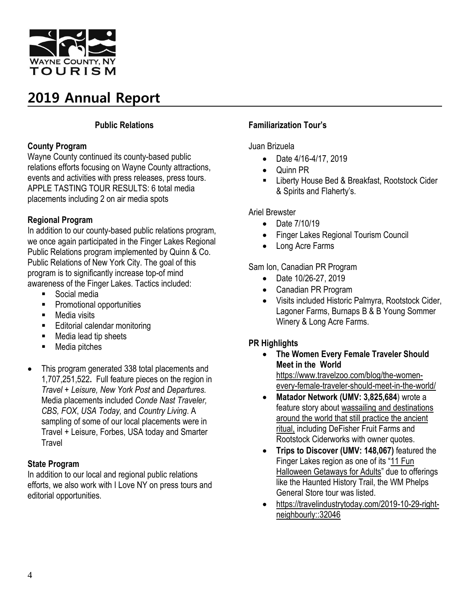

## **Public Relations**

### **County Program**

Wayne County continued its county-based public relations efforts focusing on Wayne County attractions, events and activities with press releases, press tours. APPLE TASTING TOUR RESULTS: 6 total media placements including 2 on air media spots

## **Regional Program**

In addition to our county-based public relations program, we once again participated in the Finger Lakes Regional Public Relations program implemented by Quinn & Co. Public Relations of New York City. The goal of this program is to significantly increase top-of mind awareness of the Finger Lakes. Tactics included:

- Social media
- Promotional opportunities
- **Media visits**
- **Editorial calendar monitoring**
- Media lead tip sheets
- Media pitches
- This program generated 338 total placements and 1,707,251,522**.** Full feature pieces on the region in *Travel + Leisure, New York Post* and *Departures.*  Media placements included *Conde Nast Traveler, CBS, FOX*, *USA Today,* and *Country Living*. A sampling of some of our local placements were in Travel + Leisure, Forbes, USA today and Smarter **Travel**

### **State Program**

In addition to our local and regional public relations efforts, we also work with I Love NY on press tours and editorial opportunities.

## **Familiarization Tour's**

Juan Brizuela

- Date 4/16-4/17, 2019
- Quinn PR
- **E** Liberty House Bed & Breakfast, Rootstock Cider & Spirits and Flaherty's.

Ariel Brewster

- Date 7/10/19
- Finger Lakes Regional Tourism Council
- Long Acre Farms

Sam Ion, Canadian PR Program

- Date 10/26-27, 2019
- Canadian PR Program
- Visits included Historic Palmyra, Rootstock Cider, Lagoner Farms, Burnaps B & B Young Sommer Winery & Long Acre Farms.

## **PR Highlights**

- **The Women Every Female Traveler Should Meet in the World** [https://www.travelzoo.com/blog/the-women](https://www.travelzoo.com/blog/the-women-every-female-traveler-should-meet-in-the-world/)[every-female-traveler-should-meet-in-the-world/](https://www.travelzoo.com/blog/the-women-every-female-traveler-should-meet-in-the-world/)
- **Matador Network (UMV: 3,825,684**) wrote a feature story about wassailing and [destinations](https://matadornetwork.com/read/english-tradition-wassailing-winter/) around the world that still [practice](https://matadornetwork.com/read/english-tradition-wassailing-winter/) the ancient [ritual,](https://matadornetwork.com/read/english-tradition-wassailing-winter/) including DeFisher Fruit Farms and Rootstock Ciderworks with owner quotes.
- **Trips to Discover (UMV: 148,067)** featured the Finger Lakes region as one of its "11 [Fun](https://www.tripstodiscover.com/halloween-getaways-for-adults/) [Halloween](https://www.tripstodiscover.com/halloween-getaways-for-adults/) Getaways for Adults" due to offerings like the Haunted History Trail, the WM Phelps General Store tour was listed.
- [https://travelindustrytoday.com/2019-10-29-right](https://travelindustrytoday.com/2019-10-29-right-neighbourly::32046)[neighbourly::32046](https://travelindustrytoday.com/2019-10-29-right-neighbourly::32046)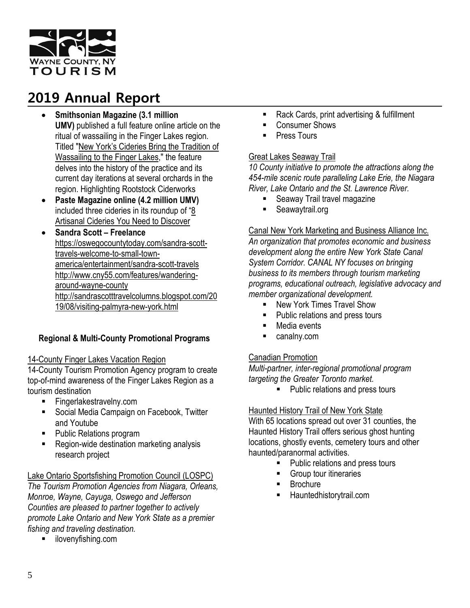

- **Smithsonian Magazine (3.1 million UMV)** published a full feature online article on the ritual of wassailing in the Finger Lakes region. Titled "New York's Cideries Bring the [Tradition](https://www.smithsonianmag.com/travel/new-yorks-cideries-bring-tradition-wassailing-to-finger-lakes-180973798/) of [Wassailing](https://www.smithsonianmag.com/travel/new-yorks-cideries-bring-tradition-wassailing-to-finger-lakes-180973798/) to the Finger Lakes," the feature delves into the history of the practice and its current day iterations at several orchards in the region. Highlighting Rootstock Ciderworks
- **Paste Magazine online (4.2 million UMV)** included three cideries in its roundup of "[8](https://amp.pastemagazine.com/articles/2019/10/best-new-hard-ciders.html) [Artisanal](https://amp.pastemagazine.com/articles/2019/10/best-new-hard-ciders.html) Cideries You Need to Discover
- **Sandra Scott – Freelance** [https://oswegocountytoday.com/sandra-scott](https://oswegocountytoday.com/sandra-scott-travels-welcome-to-small-town-america/entertainment/sandra-scott-travels)[travels-welcome-to-small-town](https://oswegocountytoday.com/sandra-scott-travels-welcome-to-small-town-america/entertainment/sandra-scott-travels)[america/entertainment/sandra-scott-travels](https://oswegocountytoday.com/sandra-scott-travels-welcome-to-small-town-america/entertainment/sandra-scott-travels) [http://www.cny55.com/features/wandering](http://www.cny55.com/features/wandering-around-wayne-county)[around-wayne-county](http://www.cny55.com/features/wandering-around-wayne-county) [http://sandrascotttravelcolumns.blogspot.com/20](http://sandrascotttravelcolumns.blogspot.com/2019/08/visiting-palmyra-new-york.html) [19/08/visiting-palmyra-new-york.html](http://sandrascotttravelcolumns.blogspot.com/2019/08/visiting-palmyra-new-york.html)

## **Regional & Multi-County Promotional Programs**

### 14-County Finger Lakes Vacation Region

14-County Tourism Promotion Agency program to create top-of-mind awareness of the Finger Lakes Region as a tourism destination

- Fingerlakestravelny.com
- Social Media Campaign on Facebook, Twitter and Youtube
- Public Relations program
- Region-wide destination marketing analysis research project

### Lake Ontario Sportsfishing Promotion Council (LOSPC)

*The Tourism Promotion Agencies from Niagara, Orleans, Monroe, Wayne, Cayuga, Oswego and Jefferson Counties are pleased to partner together to actively promote Lake Ontario and New York State as a premier fishing and traveling destination.*

**ilovenyfishing.com** 

- Rack Cards, print advertising & fulfillment
- Consumer Shows
- Press Tours

### Great Lakes Seaway Trail

*10 County initiative to promote the attractions along the 454-mile scenic route paralleling Lake Erie, the Niagara River, Lake Ontario and the St. Lawrence River.*

- **Seaway Trail travel magazine**
- Seawaytrail.org

### Canal New York Marketing and Business Alliance Inc.

*An organization that promotes economic and business development along the entire New York State Canal System Corridor. CANAL NY focuses on bringing business to its members through tourism marketing programs, educational outreach, legislative advocacy and member organizational development.*

- **New York Times Travel Show**
- Public relations and press tours
- Media events
- **canalny.com**

### Canadian Promotion

*Multi-partner, inter-regional promotional program targeting the Greater Toronto market.*

**Public relations and press tours** 

### Haunted History Trail of New York State

With 65 locations spread out over 31 counties, the Haunted History Trail offers serious ghost hunting locations, ghostly events, cemetery tours and other haunted/paranormal activities.

- Public relations and press tours
- **Group tour itineraries**
- **Brochure**
- Hauntedhistorytrail.com